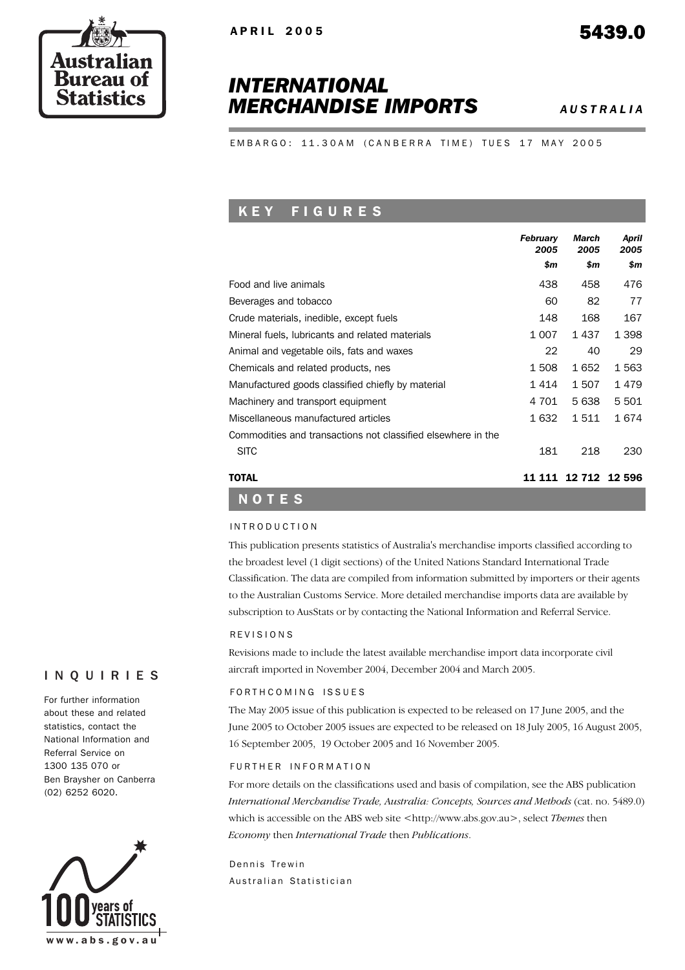# *INTERNATIONAL MERCHANDISE IMPORTS AUSTRALIA*

EMBARGO: 11.30AM (CANBERRA TIME) TUES 17 MAY 2005

## K E Y F I G U R E S

|                                                              | <b>February</b><br>2005<br>\$m | March<br>2005<br>\$m | April<br>2005<br>\$m |
|--------------------------------------------------------------|--------------------------------|----------------------|----------------------|
| Food and live animals                                        | 438                            | 458                  | 476                  |
| Beverages and tobacco                                        | 60                             | 82                   | 77                   |
| Crude materials, inedible, except fuels                      | 148                            | 168                  | 167                  |
| Mineral fuels, lubricants and related materials              | 1 007                          | 1 437                | 1 3 9 8              |
| Animal and vegetable oils, fats and waxes                    | 22                             | 40                   | 29                   |
| Chemicals and related products, nes                          | 1508                           | 1 652                | 1 5 6 3              |
| Manufactured goods classified chiefly by material            | 1 4 1 4                        | 1507                 | 1479                 |
| Machinery and transport equipment                            | 4 701                          | 5 638                | 5 5 0 1              |
| Miscellaneous manufactured articles                          | 1 632                          | 1 511                | 1 674                |
| Commodities and transactions not classified elsewhere in the |                                |                      |                      |
| <b>SITC</b>                                                  | 181                            | 218                  | 230                  |
| <b>TOTAL</b>                                                 | 11 111                         |                      | 12 712 12 596        |

#### INTRODUCTION

NOTES

This publication presents statistics of Australia's merchandise imports classified according to the broadest level (1 digit sections) of the United Nations Standard International Trade Classification. The data are compiled from information submitted by importers or their agents to the Australian Customs Service. More detailed merchandise imports data are available by subscription to AusStats or by contacting the National Information and Referral Service.

#### REVISIONS

Revisions made to include the latest available merchandise import data incorporate civil aircraft imported in November 2004, December 2004 and March 2005.

#### FORTH COMING ISSUES

The May 2005 issue of this publication is expected to be released on 17 June 2005, and the June 2005 to October 2005 issues are expected to be released on 18 July 2005, 16 August 2005, 16 September 2005, 19 October 2005 and 16 November 2005.

### FURTHER INFORMATION

For more details on the classifications used and basis of compilation, see the ABS publication *International Merchandise Trade, Australia: Concepts, Sources and Methods* (cat. no. 5489.0) which is accessible on the ABS web site <http://www.abs.gov.au>, select *Themes* then *Economy* then *International Trade* then *Publications*.

Dennis Trewin Australian Statistician



For further information about these and related statistics, contact the National Information and Referral Service on 1300 135 070 or Ben Braysher on Canberra (02) 6252 6020.